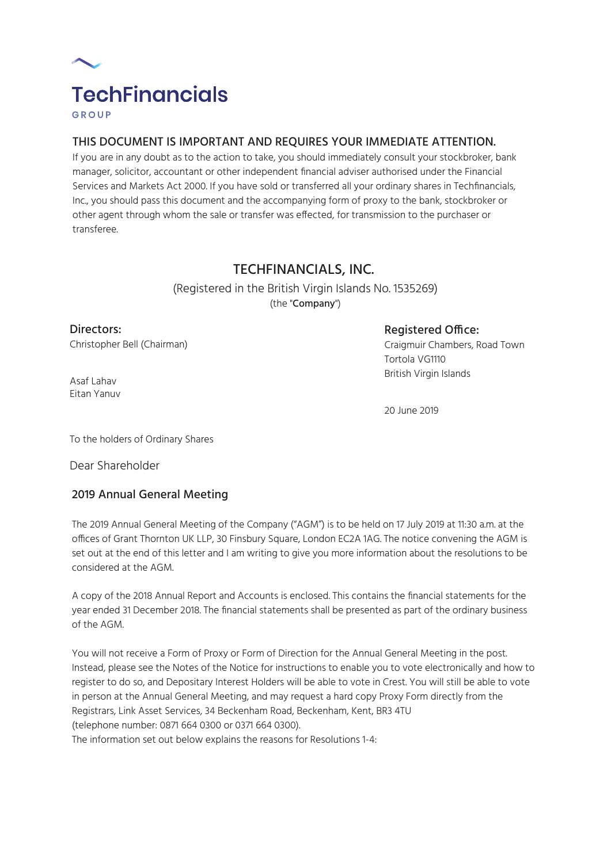

# THIS DOCUMENT IS IMPORTANT AND REQUIRES YOUR IMMEDIATE ATTENTION.

If you are in any doubt as to the action to take, you should immediately consult your stockbroker, bank manager, solicitor, accountant or other independent financial adviser authorised under the Financial Services and Markets Act 2000. If you have sold or transferred all your ordinary shares in Techfinancials, Inc., you should pass this document and the accompanying form of proxy to the bank, stockbroker or other agent through whom the sale or transfer was effected, for transmission to the purchaser or transferee.

# TECHFINANCIALS, INC.

(Registered in the British Virgin Islands No. 1535269) (the "Company")

Directors:

Christopher Bell (Chairman)

Registered Office:

Craigmuir Chambers, Road Town Tortola VG1110 British Virgin Islands

Asaf Lahav Eitan Yanuv

20 June 2019

To the holders of Ordinary Shares

Dear Shareholder

# 2019 Annual General Meeting

The 2019 Annual General Meeting of the Company ("AGM") is to be held on 17 July 2019 at 11:30 a.m. at the offices of Grant Thornton UK LLP, 30 Finsbury Square, London EC2A 1AG. The notice convening the AGM is set out at the end of this letter and I am writing to give you more information about the resolutions to be considered at the AGM.

A copy of the 2018 Annual Report and Accounts is enclosed. This contains the financial statements for the year ended 31 December 2018. The financial statements shall be presented as part of the ordinary business of the AGM.

You will not receive a Form of Proxy or Form of Direction for the Annual General Meeting in the post. Instead, please see the Notes of the Notice for instructions to enable you to vote electronically and how to register to do so, and Depositary Interest Holders will be able to vote in Crest. You will still be able to vote in person at the Annual General Meeting, and may request a hard copy Proxy Form directly from the Registrars, Link Asset Services, 34 Beckenham Road, Beckenham, Kent, BR3 4TU (telephone number: 0871 664 0300 or 0371 664 0300).

The information set out below explains the reasons for Resolutions 1-4: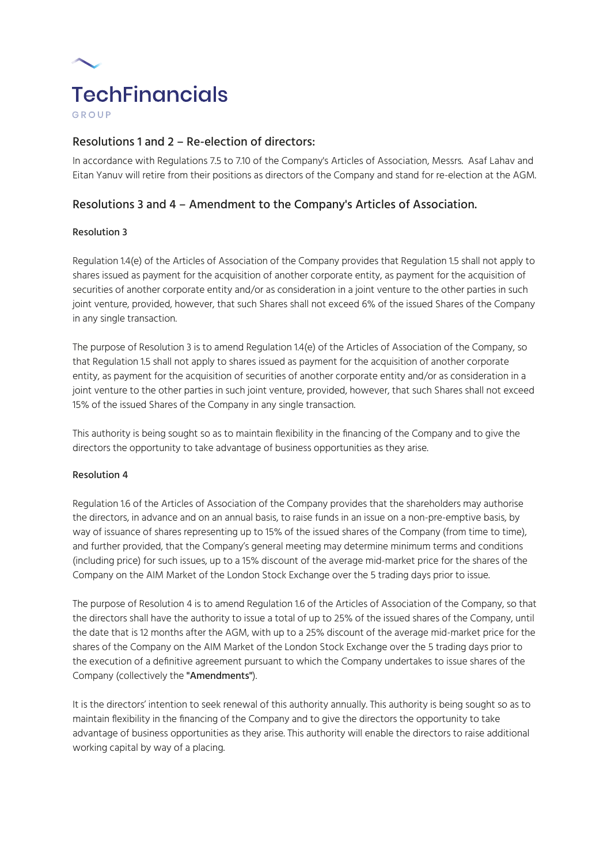

# Resolutions 1 and 2 – Re-election of directors:

In accordance with Regulations 7.5 to 7.10 of the Company's Articles of Association, Messrs. Asaf Lahav and Eitan Yanuv will retire from their positions as directors of the Company and stand for re-election at the AGM.

# Resolutions 3 and 4 – Amendment to the Company's Articles of Association.

### Resolution 3

Regulation 1.4(e) of the Articles of Association of the Company provides that Regulation 1.5 shall not apply to shares issued as payment for the acquisition of another corporate entity, as payment for the acquisition of securities of another corporate entity and/or as consideration in a joint venture to the other parties in such joint venture, provided, however, that such Shares shall not exceed 6% of the issued Shares of the Company in any single transaction.

The purpose of Resolution 3 is to amend Regulation 1.4(e) of the Articles of Association of the Company, so that Regulation 1.5 shall not apply to shares issued as payment for the acquisition of another corporate entity, as payment for the acquisition of securities of another corporate entity and/or as consideration in a joint venture to the other parties in such joint venture, provided, however, that such Shares shall not exceed 15% of the issued Shares of the Company in any single transaction.

This authority is being sought so as to maintain flexibility in the financing of the Company and to give the directors the opportunity to take advantage of business opportunities as they arise.

#### Resolution 4

Regulation 1.6 of the Articles of Association of the Company provides that the shareholders may authorise the directors, in advance and on an annual basis, to raise funds in an issue on a non-pre-emptive basis, by way of issuance of shares representing up to 15% of the issued shares of the Company (from time to time), and further provided, that the Company's general meeting may determine minimum terms and conditions (including price) for such issues, up to a 15% discount of the average mid-market price for the shares of the Company on the AIM Market of the London Stock Exchange over the 5 trading days prior to issue.

The purpose of Resolution 4 is to amend Regulation 1.6 of the Articles of Association of the Company, so that the directors shall have the authority to issue a total of up to 25% of the issued shares of the Company, until the date that is 12 months after the AGM, with up to a 25% discount of the average mid-market price for the shares of the Company on the AIM Market of the London Stock Exchange over the 5 trading days prior to the execution of a definitive agreement pursuant to which the Company undertakes to issue shares of the Company (collectively the "Amendments").

It is the directors' intention to seek renewal of this authority annually. This authority is being sought so as to maintain flexibility in the financing of the Company and to give the directors the opportunity to take advantage of business opportunities as they arise. This authority will enable the directors to raise additional working capital by way of a placing.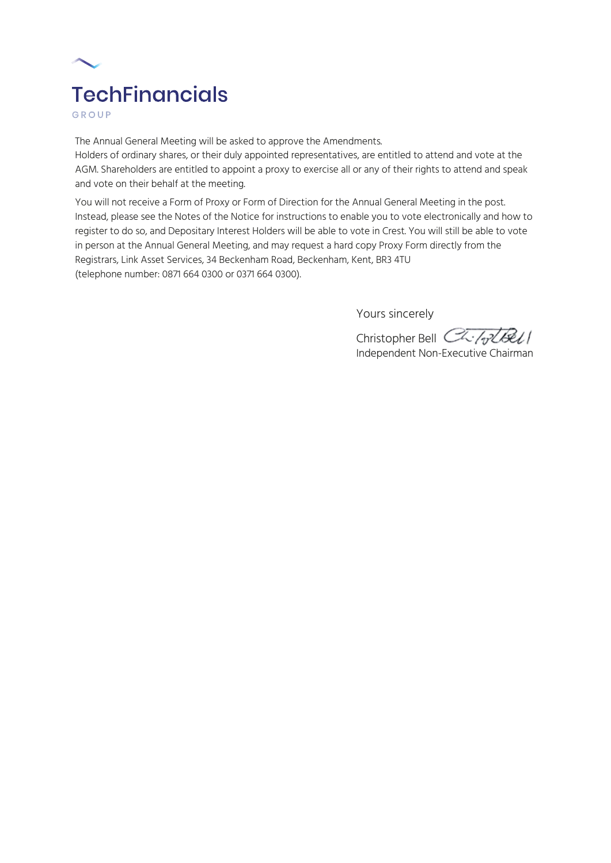

GROUP

The Annual General Meeting will be asked to approve the Amendments.

Holders of ordinary shares, or their duly appointed representatives, are entitled to attend and vote at the AGM. Shareholders are entitled to appoint a proxy to exercise all or any of their rights to attend and speak and vote on their behalf at the meeting.

You will not receive a Form of Proxy or Form of Direction for the Annual General Meeting in the post. Instead, please see the Notes of the Notice for instructions to enable you to vote electronically and how to register to do so, and Depositary Interest Holders will be able to vote in Crest. You will still be able to vote in person at the Annual General Meeting, and may request a hard copy Proxy Form directly from the Registrars, Link Asset Services, 34 Beckenham Road, Beckenham, Kent, BR3 4TU (telephone number: 0871 664 0300 or 0371 664 0300).

Yours sincerely

Christopher Bell CL-/olbell Independent Non-Executive Chairman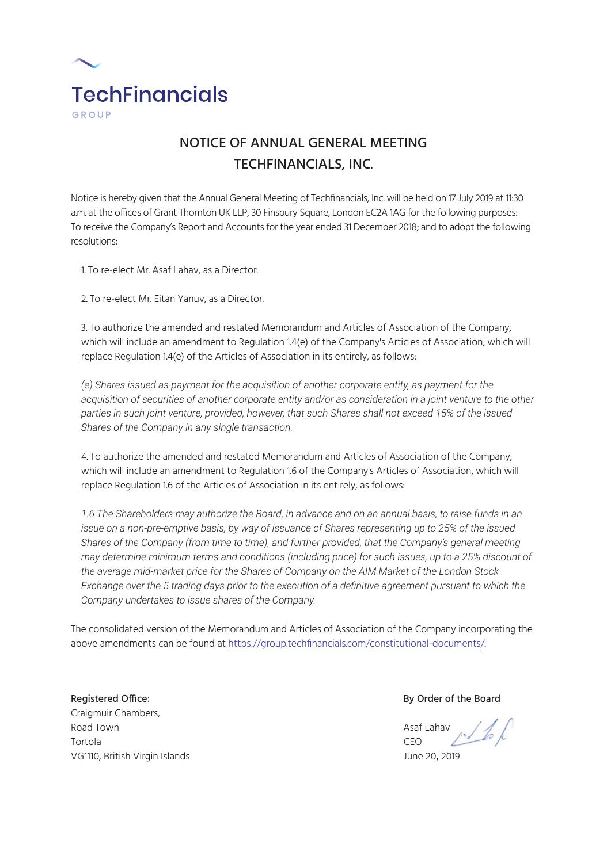

# NOTICE OF ANNUAL GENERAL MEETING TECHFINANCIALS, INC.

Notice is hereby given that the Annual General Meeting of Techfinancials, Inc. will be held on 17 July 2019 at 11:30 a.m. at the offices of Grant Thornton UK LLP, 30 Finsbury Square, London EC2A 1AG for the following purposes: To receive the Company's Report and Accounts for the year ended 31 December 2018; and to adopt the following resolutions:

1. To re-elect Mr. Asaf Lahav, as a Director.

2. To re-elect Mr. Eitan Yanuv, as a Director.

3. To authorize the amended and restated Memorandum and Articles of Association of the Company, which will include an amendment to Regulation 1.4(e) of the Company's Articles of Association, which will replace Regulation 1.4(e) of the Articles of Association in its entirely, as follows:

*(e) Shares issued as payment for the acquisition of another corporate entity, as payment for the acquisition of securities of another corporate entity and/or as consideration in a joint venture to the other parties in such joint venture, provided, however, that such Shares shall not exceed 15% of the issued Shares of the Company in any single transaction.*

4. To authorize the amended and restated Memorandum and Articles of Association of the Company, which will include an amendment to Regulation 1.6 of the Company's Articles of Association, which will replace Regulation 1.6 of the Articles of Association in its entirely, as follows:

*1.6 The Shareholders may authorize the Board, in advance and on an annual basis, to raise funds in an issue on a non-pre-emptive basis, by way of issuance of Shares representing up to 25% of the issued Shares of the Company (from time to time), and further provided, that the Company's general meeting may determine minimum terms and conditions (including price) for such issues, up to a 25% discount of the average mid-market price for the Shares of Company on the AIM Market of the London Stock Exchange over the 5 trading days prior to the execution of a definitive agreement pursuant to which the Company undertakes to issue shares of the Company.*

The consolidated version of the Memorandum and Articles of Association of the Company incorporating the above amendments can be found at https://group.techfinancials.com/constitutional-documents/.

Registered Office: By Order of the Board Craigmuir Chambers, Road Town Asaf Lahav Asaf Lahav Asaf Lahav Asaf Lahav Asaf Lahav Asaf Lahav Asaf Lahav Asaf Lahav Asaf Lahav A Tortola CEO VG1110, British Virgin Islands June 20, 2019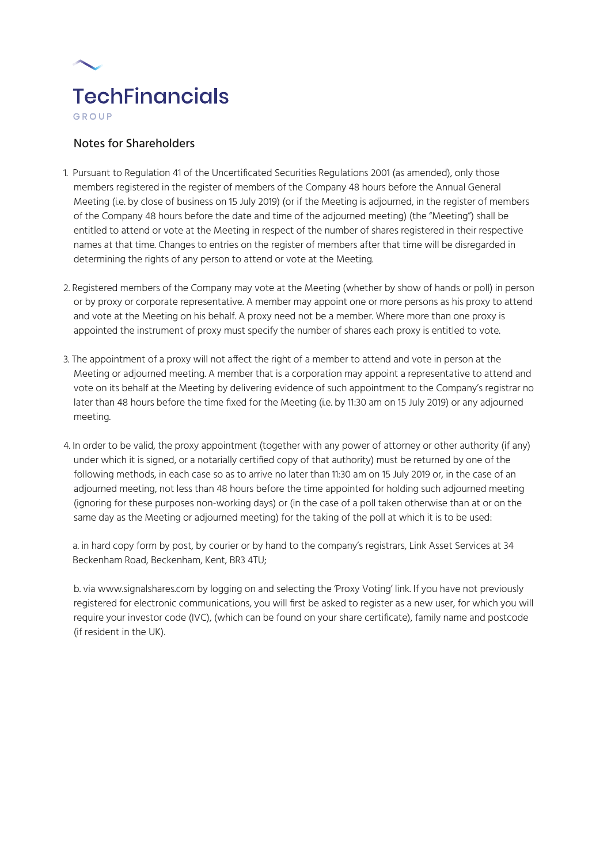

# Notes for Shareholders

- 1. Pursuant to Regulation 41 of the Uncertificated Securities Regulations 2001 (as amended), only those members registered in the register of members of the Company 48 hours before the Annual General Meeting (i.e. by close of business on 15 July 2019) (or if the Meeting is adjourned, in the register of members of the Company 48 hours before the date and time of the adjourned meeting) (the "Meeting") shall be entitled to attend or vote at the Meeting in respect of the number of shares registered in their respective names at that time. Changes to entries on the register of members after that time will be disregarded in determining the rights of any person to attend or vote at the Meeting.
- 2. Registered members of the Company may vote at the Meeting (whether by show of hands or poll) in person or by proxy or corporate representative. A member may appoint one or more persons as his proxy to attend and vote at the Meeting on his behalf. A proxy need not be a member. Where more than one proxy is appointed the instrument of proxy must specify the number of shares each proxy is entitled to vote.
- 3. The appointment of a proxy will not affect the right of a member to attend and vote in person at the Meeting or adjourned meeting. A member that is a corporation may appoint a representative to attend and vote on its behalf at the Meeting by delivering evidence of such appointment to the Company's registrar no later than 48 hours before the time fixed for the Meeting (i.e. by 11:30 am on 15 July 2019) or any adjourned meeting.
- 4. In order to be valid, the proxy appointment (together with any power of attorney or other authority (if any) under which it is signed, or a notarially certified copy of that authority) must be returned by one of the following methods, in each case so as to arrive no later than 11:30 am on 15 July 2019 or, in the case of an adjourned meeting, not less than 48 hours before the time appointed for holding such adjourned meeting (ignoring for these purposes non-working days) or (in the case of a poll taken otherwise than at or on the same day as the Meeting or adjourned meeting) for the taking of the poll at which it is to be used:

a. in hard copy form by post, by courier or by hand to the company's registrars, Link Asset Services at 34 Beckenham Road, Beckenham, Kent, BR3 4TU;

b. via www.signalshares.com by logging on and selecting the 'Proxy Voting' link. If you have not previously registered for electronic communications, you will first be asked to register as a new user, for which you will require your investor code (IVC), (which can be found on your share certificate), family name and postcode (if resident in the UK).